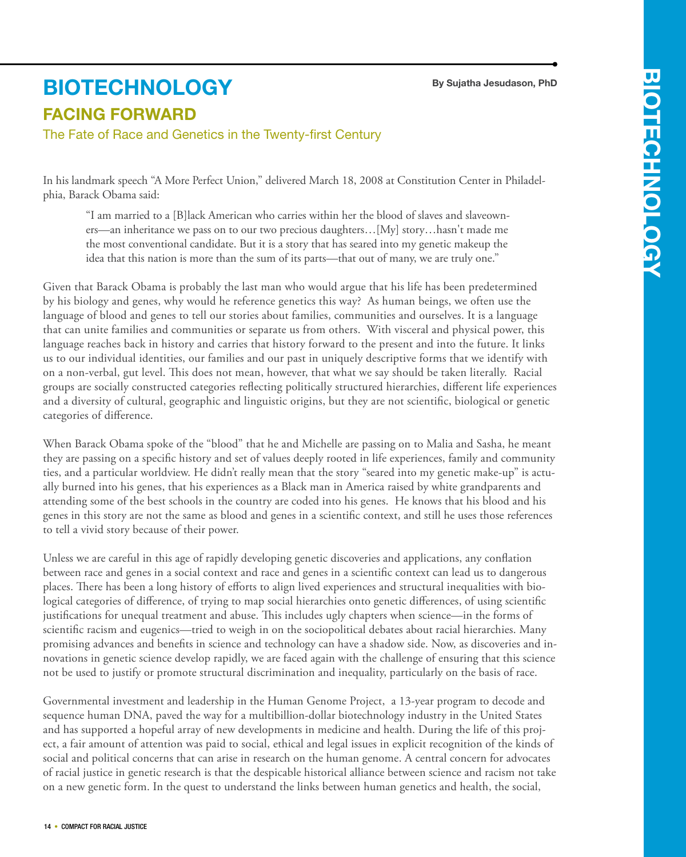## **By Sujatha Jesudason, PhD**

## **FACING FORWARD biotechnology**

The Fate of Race and Genetics in the Twenty-first Century

In his landmark speech "A More Perfect Union," delivered March 18, 2008 at Constitution Center in Philadelphia, Barack Obama said:

"I am married to a [B]lack American who carries within her the blood of slaves and slaveowners—an inheritance we pass on to our two precious daughters…[My] story…hasn't made me the most conventional candidate. But it is a story that has seared into my genetic makeup the idea that this nation is more than the sum of its parts—that out of many, we are truly one."

Given that Barack Obama is probably the last man who would argue that his life has been predetermined by his biology and genes, why would he reference genetics this way? As human beings, we often use the language of blood and genes to tell our stories about families, communities and ourselves. It is a language that can unite families and communities or separate us from others. With visceral and physical power, this language reaches back in history and carries that history forward to the present and into the future. It links us to our individual identities, our families and our past in uniquely descriptive forms that we identify with on a non-verbal, gut level. This does not mean, however, that what we say should be taken literally. Racial groups are socially constructed categories reflecting politically structured hierarchies, different life experiences and a diversity of cultural, geographic and linguistic origins, but they are not scientific, biological or genetic categories of difference.

When Barack Obama spoke of the "blood" that he and Michelle are passing on to Malia and Sasha, he meant they are passing on a specific history and set of values deeply rooted in life experiences, family and community ties, and a particular worldview. He didn't really mean that the story "seared into my genetic make-up" is actually burned into his genes, that his experiences as a Black man in America raised by white grandparents and attending some of the best schools in the country are coded into his genes. He knows that his blood and his genes in this story are not the same as blood and genes in a scientific context, and still he uses those references to tell a vivid story because of their power.

Unless we are careful in this age of rapidly developing genetic discoveries and applications, any conflation between race and genes in a social context and race and genes in a scientific context can lead us to dangerous places. There has been a long history of efforts to align lived experiences and structural inequalities with biological categories of difference, of trying to map social hierarchies onto genetic differences, of using scientific justifications for unequal treatment and abuse. This includes ugly chapters when science—in the forms of scientific racism and eugenics—tried to weigh in on the sociopolitical debates about racial hierarchies. Many promising advances and benefits in science and technology can have a shadow side. Now, as discoveries and innovations in genetic science develop rapidly, we are faced again with the challenge of ensuring that this science not be used to justify or promote structural discrimination and inequality, particularly on the basis of race.

Governmental investment and leadership in the Human Genome Project, a 13-year program to decode and sequence human DNA, paved the way for a multibillion-dollar biotechnology industry in the United States and has supported a hopeful array of new developments in medicine and health. During the life of this project, a fair amount of attention was paid to social, ethical and legal issues in explicit recognition of the kinds of social and political concerns that can arise in research on the human genome. A central concern for advocates of racial justice in genetic research is that the despicable historical alliance between science and racism not take on a new genetic form. In the quest to understand the links between human genetics and health, the social,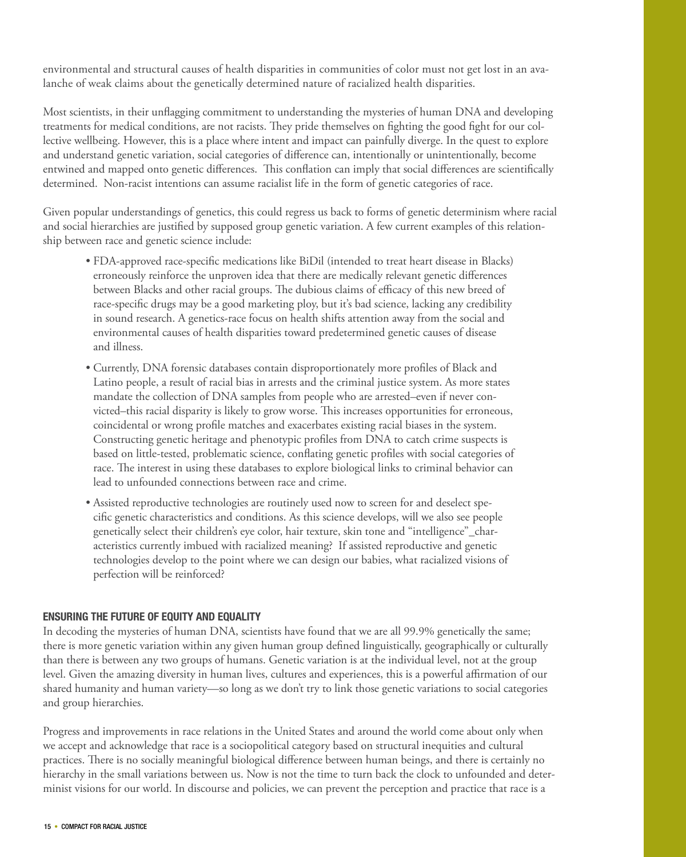environmental and structural causes of health disparities in communities of color must not get lost in an avalanche of weak claims about the genetically determined nature of racialized health disparities.

Most scientists, in their unflagging commitment to understanding the mysteries of human DNA and developing treatments for medical conditions, are not racists. They pride themselves on fighting the good fight for our collective wellbeing. However, this is a place where intent and impact can painfully diverge. In the quest to explore and understand genetic variation, social categories of difference can, intentionally or unintentionally, become entwined and mapped onto genetic differences. This conflation can imply that social differences are scientifically determined. Non-racist intentions can assume racialist life in the form of genetic categories of race.

Given popular understandings of genetics, this could regress us back to forms of genetic determinism where racial and social hierarchies are justified by supposed group genetic variation. A few current examples of this relationship between race and genetic science include:

- FDA-approved race-specific medications like BiDil (intended to treat heart disease in Blacks) erroneously reinforce the unproven idea that there are medically relevant genetic differences between Blacks and other racial groups. The dubious claims of efficacy of this new breed of race-specific drugs may be a good marketing ploy, but it's bad science, lacking any credibility in sound research. A genetics-race focus on health shifts attention away from the social and environmental causes of health disparities toward predetermined genetic causes of disease and illness.
- Currently, DNA forensic databases contain disproportionately more profiles of Black and Latino people, a result of racial bias in arrests and the criminal justice system. As more states mandate the collection of DNA samples from people who are arrested–even if never convicted–this racial disparity is likely to grow worse. This increases opportunities for erroneous, coincidental or wrong profile matches and exacerbates existing racial biases in the system. Constructing genetic heritage and phenotypic profiles from DNA to catch crime suspects is based on little-tested, problematic science, conflating genetic profiles with social categories of race. The interest in using these databases to explore biological links to criminal behavior can lead to unfounded connections between race and crime.
- Assisted reproductive technologies are routinely used now to screen for and deselect specific genetic characteristics and conditions. As this science develops, will we also see people genetically select their children's eye color, hair texture, skin tone and "intelligence"\_characteristics currently imbued with racialized meaning? If assisted reproductive and genetic technologies develop to the point where we can design our babies, what racialized visions of perfection will be reinforced?

## **Ensuring the Future of Equity and Equality**

In decoding the mysteries of human DNA, scientists have found that we are all 99.9% genetically the same; there is more genetic variation within any given human group defined linguistically, geographically or culturally than there is between any two groups of humans. Genetic variation is at the individual level, not at the group level. Given the amazing diversity in human lives, cultures and experiences, this is a powerful affirmation of our shared humanity and human variety—so long as we don't try to link those genetic variations to social categories and group hierarchies.

Progress and improvements in race relations in the United States and around the world come about only when we accept and acknowledge that race is a sociopolitical category based on structural inequities and cultural practices. There is no socially meaningful biological difference between human beings, and there is certainly no hierarchy in the small variations between us. Now is not the time to turn back the clock to unfounded and determinist visions for our world. In discourse and policies, we can prevent the perception and practice that race is a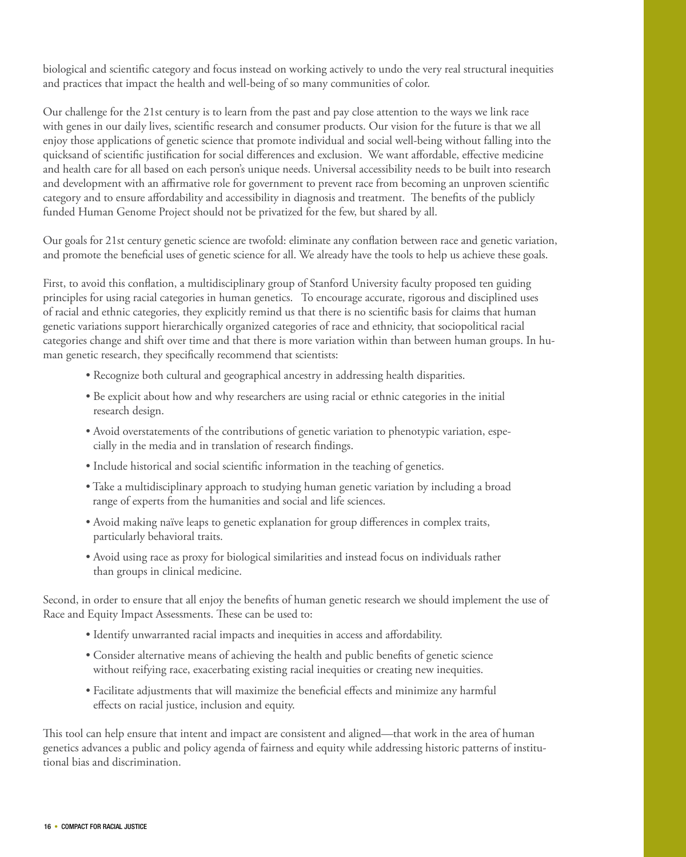biological and scientific category and focus instead on working actively to undo the very real structural inequities and practices that impact the health and well-being of so many communities of color.

Our challenge for the 21st century is to learn from the past and pay close attention to the ways we link race with genes in our daily lives, scientific research and consumer products. Our vision for the future is that we all enjoy those applications of genetic science that promote individual and social well-being without falling into the quicksand of scientific justification for social differences and exclusion. We want affordable, effective medicine and health care for all based on each person's unique needs. Universal accessibility needs to be built into research and development with an affirmative role for government to prevent race from becoming an unproven scientific category and to ensure affordability and accessibility in diagnosis and treatment. The benefits of the publicly funded Human Genome Project should not be privatized for the few, but shared by all.

Our goals for 21st century genetic science are twofold: eliminate any conflation between race and genetic variation, and promote the beneficial uses of genetic science for all. We already have the tools to help us achieve these goals.

First, to avoid this conflation, a multidisciplinary group of Stanford University faculty proposed ten guiding principles for using racial categories in human genetics. To encourage accurate, rigorous and disciplined uses of racial and ethnic categories, they explicitly remind us that there is no scientific basis for claims that human genetic variations support hierarchically organized categories of race and ethnicity, that sociopolitical racial categories change and shift over time and that there is more variation within than between human groups. In human genetic research, they specifically recommend that scientists:

- Recognize both cultural and geographical ancestry in addressing health disparities.
- Be explicit about how and why researchers are using racial or ethnic categories in the initial research design.
- Avoid overstatements of the contributions of genetic variation to phenotypic variation, especially in the media and in translation of research findings.
- Include historical and social scientific information in the teaching of genetics.
- Take a multidisciplinary approach to studying human genetic variation by including a broad range of experts from the humanities and social and life sciences.
- Avoid making naïve leaps to genetic explanation for group differences in complex traits, particularly behavioral traits.
- Avoid using race as proxy for biological similarities and instead focus on individuals rather than groups in clinical medicine.

Second, in order to ensure that all enjoy the benefits of human genetic research we should implement the use of Race and Equity Impact Assessments. These can be used to:

- Identify unwarranted racial impacts and inequities in access and affordability.
- Consider alternative means of achieving the health and public benefits of genetic science without reifying race, exacerbating existing racial inequities or creating new inequities.
- Facilitate adjustments that will maximize the beneficial effects and minimize any harmful effects on racial justice, inclusion and equity.

This tool can help ensure that intent and impact are consistent and aligned—that work in the area of human genetics advances a public and policy agenda of fairness and equity while addressing historic patterns of institutional bias and discrimination.